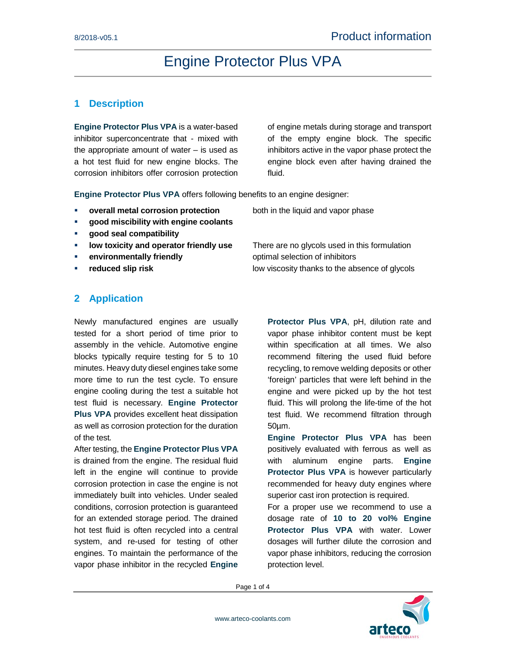## **1 Description**

**Engine Protector Plus VPA** is a water-based inhibitor superconcentrate that - mixed with the appropriate amount of water  $-$  is used as a hot test fluid for new engine blocks. The corrosion inhibitors offer corrosion protection

of engine metals during storage and transport of the empty engine block. The specific inhibitors active in the vapor phase protect the engine block even after having drained the fluid.

**Engine Protector Plus VPA** offers following benefits to an engine designer:

- **overall metal corrosion protection** both in the liquid and vapor phase
- **good miscibility with engine coolants**
- **good seal compatibility**
- **IDED low toxicity and operator friendly use** There are no glycols used in this formulation
- **EXECUTE: environmentally friendly environmentally friendly environmentally friendly**
- 

### **2 Application**

Newly manufactured engines are usually tested for a short period of time prior to assembly in the vehicle. Automotive engine blocks typically require testing for 5 to 10 minutes. Heavy duty diesel engines take some more time to run the test cycle. To ensure engine cooling during the test a suitable hot test fluid is necessary. **Engine Protector Plus VPA** provides excellent heat dissipation as well as corrosion protection for the duration of the test*.*

After testing, the **Engine Protector Plus VPA** is drained from the engine. The residual fluid left in the engine will continue to provide corrosion protection in case the engine is not immediately built into vehicles. Under sealed conditions, corrosion protection is guaranteed for an extended storage period. The drained hot test fluid is often recycled into a central system, and re-used for testing of other engines. To maintain the performance of the vapor phase inhibitor in the recycled **Engine** 

**reduced slip risk** low viscosity thanks to the absence of glycols

**Protector Plus VPA**, pH, dilution rate and vapor phase inhibitor content must be kept within specification at all times. We also recommend filtering the used fluid before recycling, to remove welding deposits or other 'foreign' particles that were left behind in the engine and were picked up by the hot test fluid. This will prolong the life-time of the hot test fluid. We recommend filtration through 50µm.

**Engine Protector Plus VPA** has been positively evaluated with ferrous as well as with aluminum engine parts. **Engine Protector Plus VPA** is however particularly recommended for heavy duty engines where superior cast iron protection is required.

For a proper use we recommend to use a dosage rate of **10 to 20 vol% Engine Protector Plus VPA** with water. Lower dosages will further dilute the corrosion and vapor phase inhibitors, reducing the corrosion protection level.

Page 1 of 4

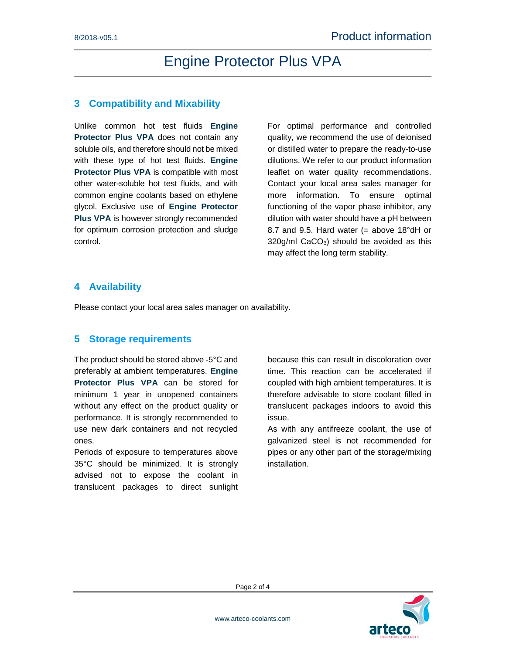#### **3 Compatibility and Mixability**

Unlike common hot test fluids **Engine Protector Plus VPA** does not contain any soluble oils, and therefore should not be mixed with these type of hot test fluids. **Engine Protector Plus VPA** is compatible with most other water-soluble hot test fluids, and with common engine coolants based on ethylene glycol. Exclusive use of **Engine Protector Plus VPA** is however strongly recommended for optimum corrosion protection and sludge control.

For optimal performance and controlled quality, we recommend the use of deionised or distilled water to prepare the ready-to-use dilutions. We refer to our product information leaflet on water quality recommendations. Contact your local area sales manager for more information. To ensure optimal functioning of the vapor phase inhibitor, any dilution with water should have a pH between 8.7 and 9.5. Hard water (= above  $18^{\circ}$ dH or 320g/ml CaCO<sub>3</sub>) should be avoided as this may affect the long term stability.

#### **4 Availability**

Please contact your local area sales manager on availability.

#### **5 Storage requirements**

The product should be stored above -5°C and preferably at ambient temperatures. **Engine Protector Plus VPA** can be stored for minimum 1 year in unopened containers without any effect on the product quality or performance. It is strongly recommended to use new dark containers and not recycled ones.

Periods of exposure to temperatures above 35°C should be minimized. It is strongly advised not to expose the coolant in translucent packages to direct sunlight because this can result in discoloration over time. This reaction can be accelerated if coupled with high ambient temperatures. It is therefore advisable to store coolant filled in translucent packages indoors to avoid this issue.

As with any antifreeze coolant, the use of galvanized steel is not recommended for pipes or any other part of the storage/mixing installation.

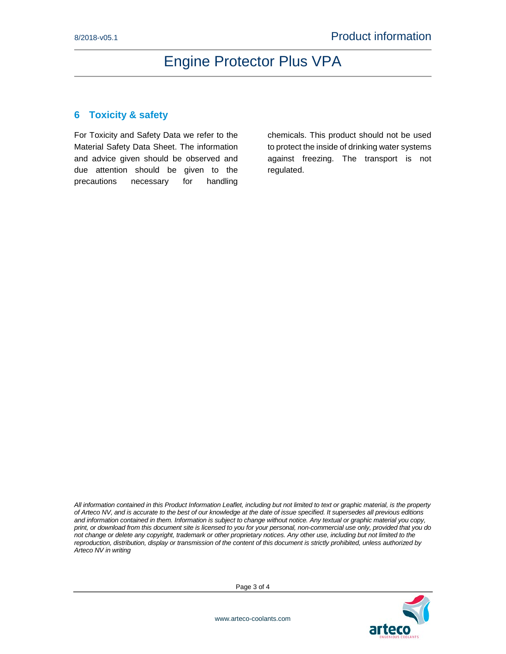### **6 Toxicity & safety**

For Toxicity and Safety Data we refer to the Material Safety Data Sheet. The information and advice given should be observed and due attention should be given to the precautions necessary for handling

chemicals. This product should not be used to protect the inside of drinking water systems against freezing. The transport is not regulated.

*All information contained in this Product Information Leaflet, including but not limited to text or graphic material, is the property of Arteco NV, and is accurate to the best of our knowledge at the date of issue specified. It supersedes all previous editions and information contained in them. Information is subject to change without notice. Any textual or graphic material you copy, print, or download from this document site is licensed to you for your personal, non-commercial use only, provided that you do not change or delete any copyright, trademark or other proprietary notices. Any other use, including but not limited to the reproduction, distribution, display or transmission of the content of this document is strictly prohibited, unless authorized by Arteco NV in writing*



Page 3 of 4